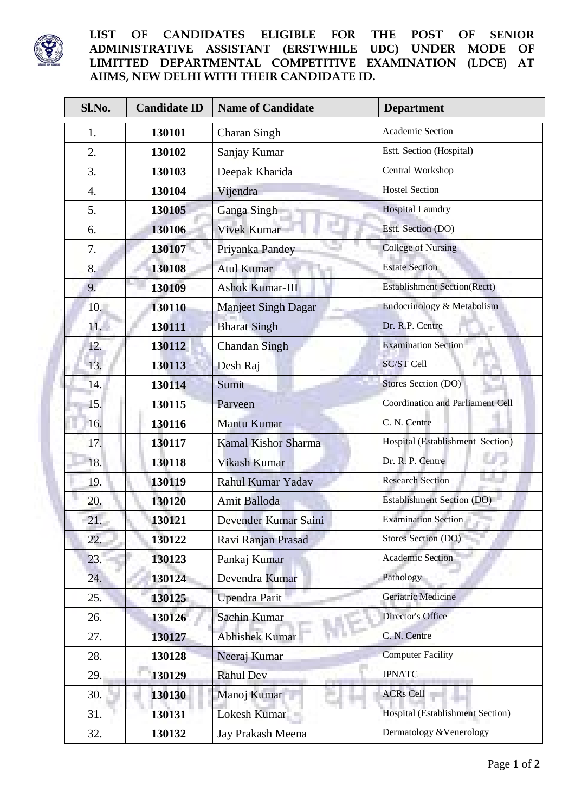

## **LIST OF CANDIDATES ELIGIBLE FOR THE POST OF SENIOR ADMINISTRATIVE ASSISTANT (ERSTWHILE UDC) UNDER MODE OF LIMITTED DEPARTMENTAL COMPETITIVE EXAMINATION (LDCE) AT AIIMS, NEW DELHI WITH THEIR CANDIDATE ID.**

| Sl.No.         | <b>Candidate ID</b> | <b>Name of Candidate</b>   | <b>Department</b>                       |
|----------------|---------------------|----------------------------|-----------------------------------------|
| 1.             | 130101              | Charan Singh               | Academic Section                        |
| 2.             | 130102              | Sanjay Kumar               | Estt. Section (Hospital)                |
| 3.             | 130103              | Deepak Kharida             | Central Workshop                        |
| $\mathbf{4}$ . | 130104              | Vijendra                   | <b>Hostel Section</b>                   |
| 5.             | 130105              | Ganga Singh                | <b>Hospital Laundry</b>                 |
| 6.             | 130106              | <b>Vivek Kumar</b>         | Estt. Section (DO)                      |
| 7.             | 130107              | Priyanka Pandey            | <b>College of Nursing</b>               |
| 8.             | 130108              | <b>Atul Kumar</b>          | <b>Estate Section</b>                   |
| 9.             | 130109              | <b>Ashok Kumar-III</b>     | <b>Establishment Section(Rectt)</b>     |
| 10.            | 130110              | <b>Manjeet Singh Dagar</b> | Endocrinology & Metabolism              |
| 11.            | 130111              | <b>Bharat Singh</b>        | Dr. R.P. Centre                         |
| 12.            | 130112              | <b>Chandan Singh</b>       | <b>Examination Section</b>              |
| 13.            | 130113              | Desh Raj                   | SC/ST Cell                              |
| 14.            | 130114              | Sumit                      | Stores Section (DO)                     |
| 15.            | 130115              | Parveen                    | <b>Coordination and Parliament Cell</b> |
| 16.            | 130116              | Mantu Kumar                | C. N. Centre                            |
| 17.            | 130117              | <b>Kamal Kishor Sharma</b> | Hospital (Establishment Section)        |
| 18.            | 130118              | Vikash Kumar               | Dr. R. P. Centre                        |
| 19.            | 130119              | Rahul Kumar Yadav          | <b>Research Section</b>                 |
| 20.            | 130120              | Amit Balloda               | <b>Establishment Section (DO)</b>       |
| 21.            | 130121              | Devender Kumar Saini       | <b>Examination Section</b>              |
| 22.            | 130122              | Ravi Ranjan Prasad         | Stores Section (DO)                     |
| 23.            | 130123              | Pankaj Kumar               | <b>Academic Section</b>                 |
| 24.            | 130124              | Devendra Kumar             | Pathology                               |
| 25.            | 130125              | <b>Upendra Parit</b>       | Geriatric Medicine                      |
| 26.            | 130126              | Sachin Kumar               | <b>Director's Office</b>                |
| 27.            | 130127              | <b>Abhishek Kumar</b>      | C. N. Centre                            |
| 28.            | 130128              | Neeraj Kumar               | <b>Computer Facility</b>                |
| 29.            | 130129              | <b>Rahul Dev</b>           | <b>JPNATC</b>                           |
| 30.            | 130130              | Manoj Kumar                | <b>ACRs Cell</b>                        |
| 31.            | 130131              | Lokesh Kumar               | Hospital (Establishment Section)        |
| 32.            | 130132              | Jay Prakash Meena          | Dermatology & Venerology                |